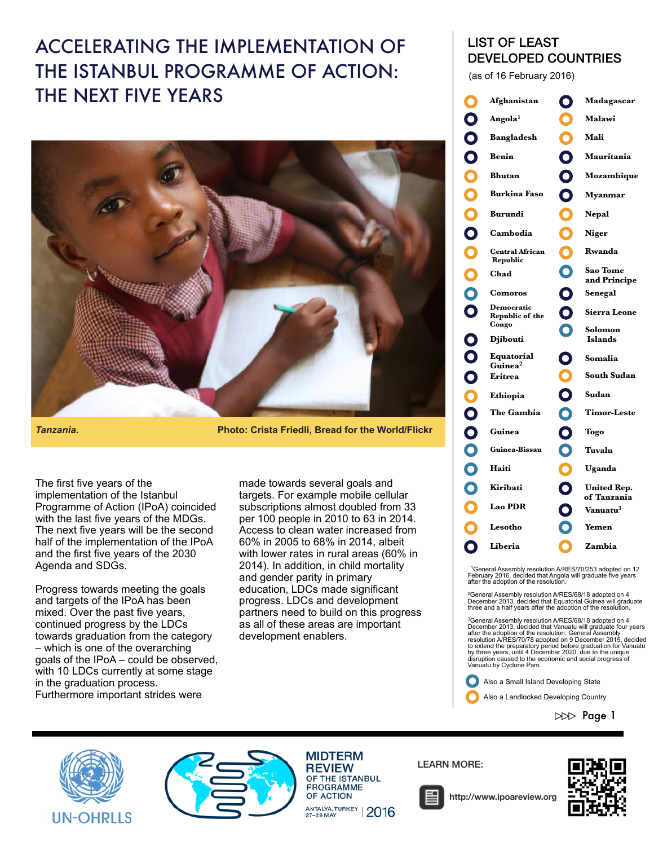## ACCELERATING THE IMPLEMENTATION OF THE ISTANBUL PROGRAMME OF ACTION: THE NEXT FIVE YEARS



*Tanzania.* **Photo: Crista Friedli, Bread for the World/Flickr**

The first five years of the implementation of the Istanbul Programme of Action (IPoA) coincided with the last five years of the MDGs. The next five years will be the second half of the implementation of the IPoA and the first five years of the 2030 Agenda and SDGs.

Progress towards meeting the goals and targets of the IPoA has been mixed. Over the past five years, continued progress by the LDCs towards graduation from the category – which is one of the overarching goals of the IPoA – could be observed, with 10 LDCs currently at some stage in the graduation process. Furthermore important strides were

made towards several goals and targets. For example mobile cellular subscriptions almost doubled from 33 per 100 people in 2010 to 63 in 2014. Access to clean water increased from 60% in 2005 to 68% in 2014, albeit with lower rates in rural areas (60% in 2014). In addition, in child mortality and gender parity in primary education, LDCs made significant progress. LDCs and development partners need to build on this progress as all of these areas are important development enablers.

## LIST OF LEAST DEVELOPED COUNTRIES

(as of 16 February 2016)



1General Assembly resolution A/RES/70/253 adopted on 12 February 2016, decided that Angola will graduate five years after the adoption of the resolution.

2General Assembly resolution A/RES/68/18 adopted on 4 December 2013, decided that Equatorial Guinea will graduate three and a half years after the adoption of the resolution.

<sup>3</sup>General Assembly resolution A/RES/68/18 adopted on 4<br>December 2013, decided that Vanuatu will graduate four years<br>after the adoption of the resolution. Generale Assembly<br>resolution A/RES/70/78 adopted on 9 December 2015 Vanuatu by Cyclone Pam.

Also a Small Island Developing State

Also a Landlocked Developing Country

 $D\gg$  Page 1





**MIDTERM REVIEW** OF THE ISTANBUL **PROGRAMME OF ACTION** ANTALYA, TURKEY | 2016

LEARN MORE:



**<http://www.ipoareview.org>**

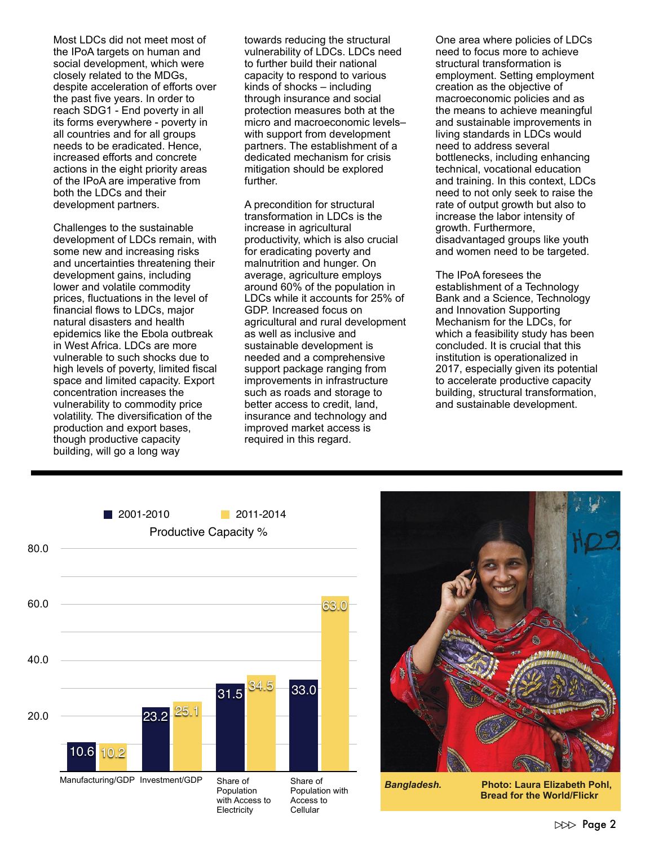Most LDCs did not meet most of the IPoA targets on human and social development, which were closely related to the MDGs, despite acceleration of efforts over the past five years. In order to reach SDG1 - End poverty in all its forms everywhere - poverty in all countries and for all groups needs to be eradicated. Hence, increased efforts and concrete actions in the eight priority areas of the IPoA are imperative from both the LDCs and their development partners.

Challenges to the sustainable development of LDCs remain, with some new and increasing risks and uncertainties threatening their development gains, including lower and volatile commodity prices, fluctuations in the level of financial flows to LDCs, major natural disasters and health epidemics like the Ebola outbreak in West Africa. LDCs are more vulnerable to such shocks due to high levels of poverty, limited fiscal space and limited capacity. Export concentration increases the vulnerability to commodity price volatility. The diversification of the production and export bases, though productive capacity building, will go a long way

towards reducing the structural vulnerability of LDCs. LDCs need to further build their national capacity to respond to various kinds of shocks – including through insurance and social protection measures both at the micro and macroeconomic levels– with support from development partners. The establishment of a dedicated mechanism for crisis mitigation should be explored further.

A precondition for structural transformation in LDCs is the increase in agricultural productivity, which is also crucial for eradicating poverty and malnutrition and hunger. On average, agriculture employs around 60% of the population in LDCs while it accounts for 25% of GDP. Increased focus on agricultural and rural development as well as inclusive and sustainable development is needed and a comprehensive support package ranging from improvements in infrastructure such as roads and storage to better access to credit, land, insurance and technology and improved market access is required in this regard.

One area where policies of LDCs need to focus more to achieve structural transformation is employment. Setting employment creation as the objective of macroeconomic policies and as the means to achieve meaningful and sustainable improvements in living standards in LDCs would need to address several bottlenecks, including enhancing technical, vocational education and training. In this context, LDCs need to not only seek to raise the rate of output growth but also to increase the labor intensity of growth. Furthermore, disadvantaged groups like youth and women need to be targeted.

The IPoA foresees the establishment of a Technology Bank and a Science, Technology and Innovation Supporting Mechanism for the LDCs, for which a feasibility study has been concluded. It is crucial that this institution is operationalized in 2017, especially given its potential to accelerate productive capacity building, structural transformation, and sustainable development.





*Bangladesh.* **Photo: Laura Elizabeth Pohl, Bread for the World/Flickr**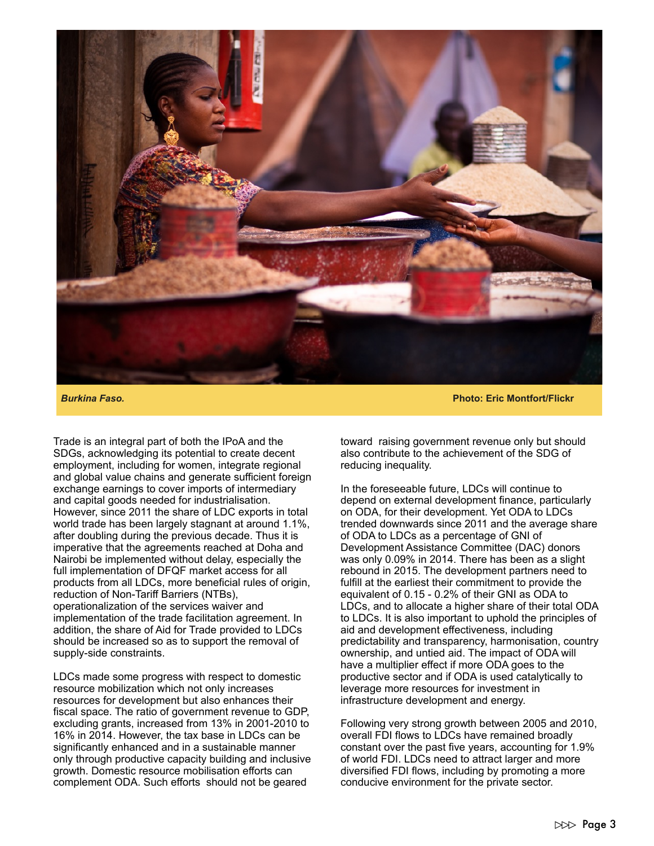

Trade is an integral part of both the IPoA and the SDGs, acknowledging its potential to create decent employment, including for women, integrate regional and global value chains and generate sufficient foreign exchange earnings to cover imports of intermediary and capital goods needed for industrialisation. However, since 2011 the share of LDC exports in total world trade has been largely stagnant at around 1.1%, after doubling during the previous decade. Thus it is imperative that the agreements reached at Doha and Nairobi be implemented without delay, especially the full implementation of DFQF market access for all products from all LDCs, more beneficial rules of origin, reduction of Non-Tariff Barriers (NTBs), operationalization of the services waiver and implementation of the trade facilitation agreement. In addition, the share of Aid for Trade provided to LDCs should be increased so as to support the removal of supply-side constraints.

LDCs made some progress with respect to domestic resource mobilization which not only increases resources for development but also enhances their fiscal space. The ratio of government revenue to GDP, excluding grants, increased from 13% in 2001-2010 to 16% in 2014. However, the tax base in LDCs can be significantly enhanced and in a sustainable manner only through productive capacity building and inclusive growth. Domestic resource mobilisation efforts can complement ODA. Such efforts should not be geared

*Burkina Faso.* **Photo: Eric Montfort/Flickr**

toward raising government revenue only but should also contribute to the achievement of the SDG of reducing inequality.

In the foreseeable future, LDCs will continue to depend on external development finance, particularly on ODA, for their development. Yet ODA to LDCs trended downwards since 2011 and the average share of ODA to LDCs as a percentage of GNI of Development Assistance Committee (DAC) donors was only 0.09% in 2014. There has been as a slight rebound in 2015. The development partners need to fulfill at the earliest their commitment to provide the equivalent of 0.15 - 0.2% of their GNI as ODA to LDCs, and to allocate a higher share of their total ODA to LDCs. It is also important to uphold the principles of aid and development effectiveness, including predictability and transparency, harmonisation, country ownership, and untied aid. The impact of ODA will have a multiplier effect if more ODA goes to the productive sector and if ODA is used catalytically to leverage more resources for investment in infrastructure development and energy.

Following very strong growth between 2005 and 2010, overall FDI flows to LDCs have remained broadly constant over the past five years, accounting for 1.9% of world FDI. LDCs need to attract larger and more diversified FDI flows, including by promoting a more conducive environment for the private sector.